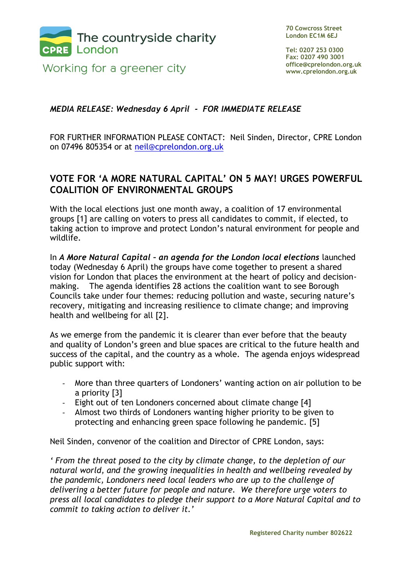

Working for a greener city

**70 Cowcross Street London EC1M 6EJ**

**Tel: 0207 253 0300 Fax: 0207 490 3001 office@cprelondon.org.uk www.cprelondon.org.uk**

## *MEDIA RELEASE: Wednesday 6 April - FOR IMMEDIATE RELEASE*

FOR FURTHER INFORMATION PLEASE CONTACT: Neil Sinden, Director, CPRE London on 07496 805354 or at [neil@cprelondon.org.uk](mailto:neil@cprelondon.org.uk)

## **VOTE FOR 'A MORE NATURAL CAPITAL' ON 5 MAY! URGES POWERFUL COALITION OF ENVIRONMENTAL GROUPS**

With the local elections just one month away, a coalition of 17 environmental groups [1] are calling on voters to press all candidates to commit, if elected, to taking action to improve and protect London's natural environment for people and wildlife.

In *A More Natural Capital – an agenda for the London local elections* launched today (Wednesday 6 April) the groups have come together to present a shared vision for London that places the environment at the heart of policy and decisionmaking. The agenda identifies 28 actions the coalition want to see Borough Councils take under four themes: reducing pollution and waste, securing nature's recovery, mitigating and increasing resilience to climate change; and improving health and wellbeing for all [2].

As we emerge from the pandemic it is clearer than ever before that the beauty and quality of London's green and blue spaces are critical to the future health and success of the capital, and the country as a whole. The agenda enjoys widespread public support with:

- More than three quarters of Londoners' wanting action on air pollution to be a priority [3]
- Eight out of ten Londoners concerned about climate change [4]
- Almost two thirds of Londoners wanting higher priority to be given to protecting and enhancing green space following he pandemic. [5]

Neil Sinden, convenor of the coalition and Director of CPRE London, says:

*' From the threat posed to the city by climate change, to the depletion of our natural world, and the growing inequalities in health and wellbeing revealed by the pandemic, Londoners need local leaders who are up to the challenge of delivering a better future for people and nature. We therefore urge voters to press all local candidates to pledge their support to a More Natural Capital and to commit to taking action to deliver it.'*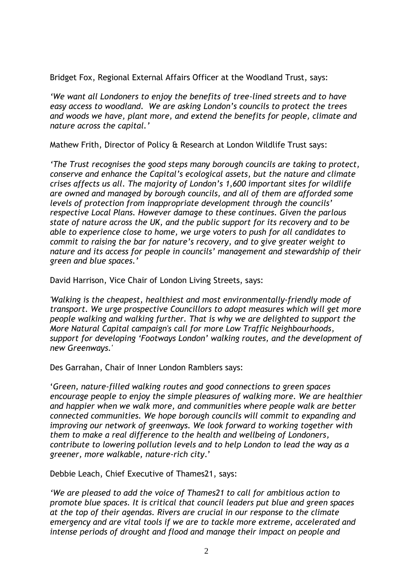Bridget Fox, Regional External Affairs Officer at the Woodland Trust, says:

*'We want all Londoners to enjoy the benefits of tree-lined streets and to have easy access to woodland. We are asking London's councils to protect the trees and woods we have, plant more, and extend the benefits for people, climate and nature across the capital.'*

Mathew Frith, Director of Policy & Research at London Wildlife Trust says:

*'The Trust recognises the good steps many borough councils are taking to protect, conserve and enhance the Capital's ecological assets, but the nature and climate crises affects us all. The majority of London's 1,600 important sites for wildlife are owned and managed by borough councils, and all of them are afforded some levels of protection from inappropriate development through the councils' respective Local Plans. However damage to these continues. Given the parlous state of nature across the UK, and the public support for its recovery and to be able to experience close to home, we urge voters to push for all candidates to commit to raising the bar for nature's recovery, and to give greater weight to nature and its access for people in councils' management and stewardship of their green and blue spaces.'*

David Harrison, Vice Chair of London Living Streets, says:

*'Walking is the cheapest, healthiest and most environmentally-friendly mode of transport. We urge prospective Councillors to adopt measures which will get more people walking and walking further. That is why we are delighted to support the More Natural Capital campaign's call for more Low Traffic Neighbourhoods, support for developing 'Footways London' walking routes, and the development of new Greenways.'*

Des Garrahan, Chair of Inner London Ramblers says:

'*Green, nature-filled walking routes and good connections to green spaces encourage people to enjoy the simple pleasures of walking more. We are healthier and happier when we walk more, and communities where people walk are better connected communities. We hope borough councils will commit to expanding and improving our network of greenways. We look forward to working together with them to make a real difference to the health and wellbeing of Londoners, contribute to lowering pollution levels and to help London to lead the way as a greener, more walkable, nature-rich city*.'

Debbie Leach, Chief Executive of Thames21, says:

*'We are pleased to add the voice of Thames21 to call for ambitious action to promote blue spaces. It is critical that council leaders put blue and green spaces at the top of their agendas. Rivers are crucial in our response to the climate emergency and are vital tools if we are to tackle more extreme, accelerated and intense periods of drought and flood and manage their impact on people and*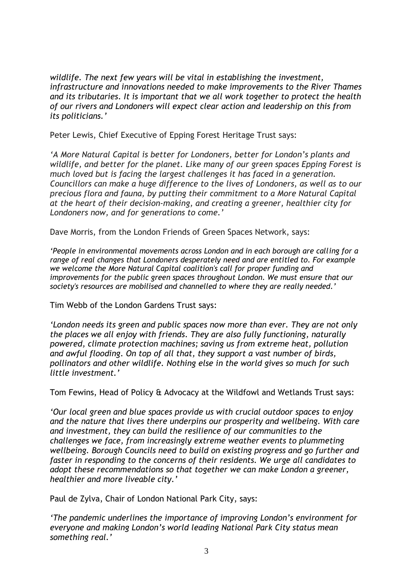*wildlife. The next few years will be vital in establishing the investment, infrastructure and innovations needed to make improvements to the River Thames and its tributaries. It is important that we all work together to protect the health of our rivers and Londoners will expect clear action and leadership on this from its politicians.'*

Peter Lewis, Chief Executive of Epping Forest Heritage Trust says:

*'A More Natural Capital is better for Londoners, better for London's plants and wildlife, and better for the planet. Like many of our green spaces Epping Forest is much loved but is facing the largest challenges it has faced in a generation. Councillors can make a huge difference to the lives of Londoners, as well as to our precious flora and fauna, by putting their commitment to a More Natural Capital at the heart of their decision-making, and creating a greener, healthier city for Londoners now, and for generations to come.'*

Dave Morris, from the London Friends of Green Spaces Network, says:

*'People in environmental movements across London and in each borough are calling for a range of real changes that Londoners desperately need and are entitled to. For example we welcome the More Natural Capital coalition's call for proper funding and improvements for the public green spaces throughout London. We must ensure that our society's resources are mobilised and channelled to where they are really needed.'*

Tim Webb of the London Gardens Trust says:

*'London needs its green and public spaces now more than ever. They are not only the places we all enjoy with friends. They are also fully functioning, naturally powered, climate protection machines; saving us from extreme heat, pollution and awful flooding. On top of all that, they support a vast number of birds, pollinators and other wildlife. Nothing else in the world gives so much for such little investment.'*

Tom Fewins, Head of Policy & Advocacy at the Wildfowl and Wetlands Trust says:

*'Our local green and blue spaces provide us with crucial outdoor spaces to enjoy and the nature that lives there underpins our prosperity and wellbeing. With care and investment, they can build the resilience of our communities to the challenges we face, from increasingly extreme weather events to plummeting wellbeing. Borough Councils need to build on existing progress and go further and faster in responding to the concerns of their residents. We urge all candidates to adopt these recommendations so that together we can make London a greener, healthier and more liveable city.'*

Paul de Zylva, Chair of London National Park City, says:

*'The pandemic underlines the importance of improving London's environment for everyone and making London's world leading National Park City status mean something real.'*